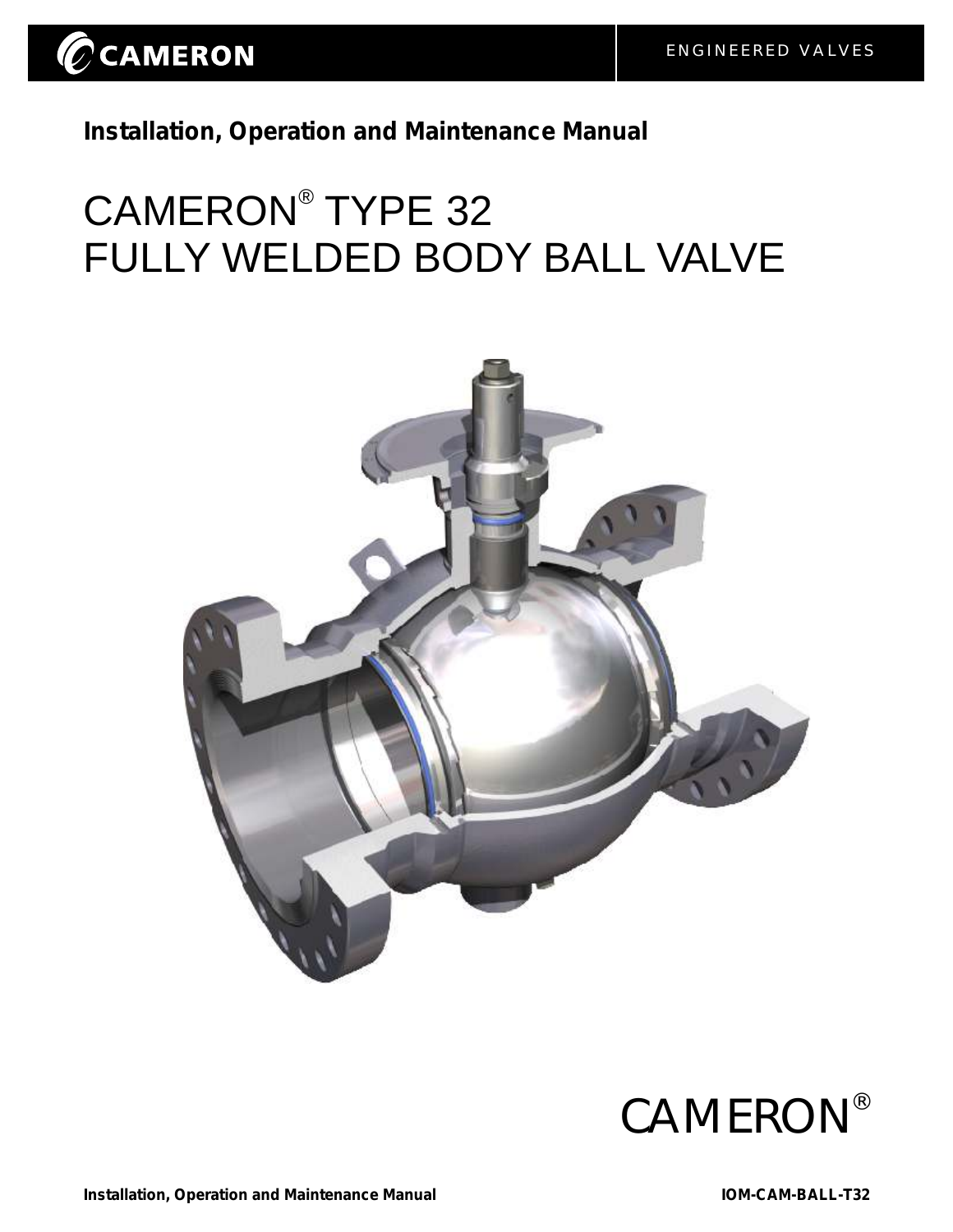

**Installation, Operation and Maintenance Manual**

# CAMERON<sup>®</sup> TYPE 32 FULLY WELDED BODY BALL VALVE



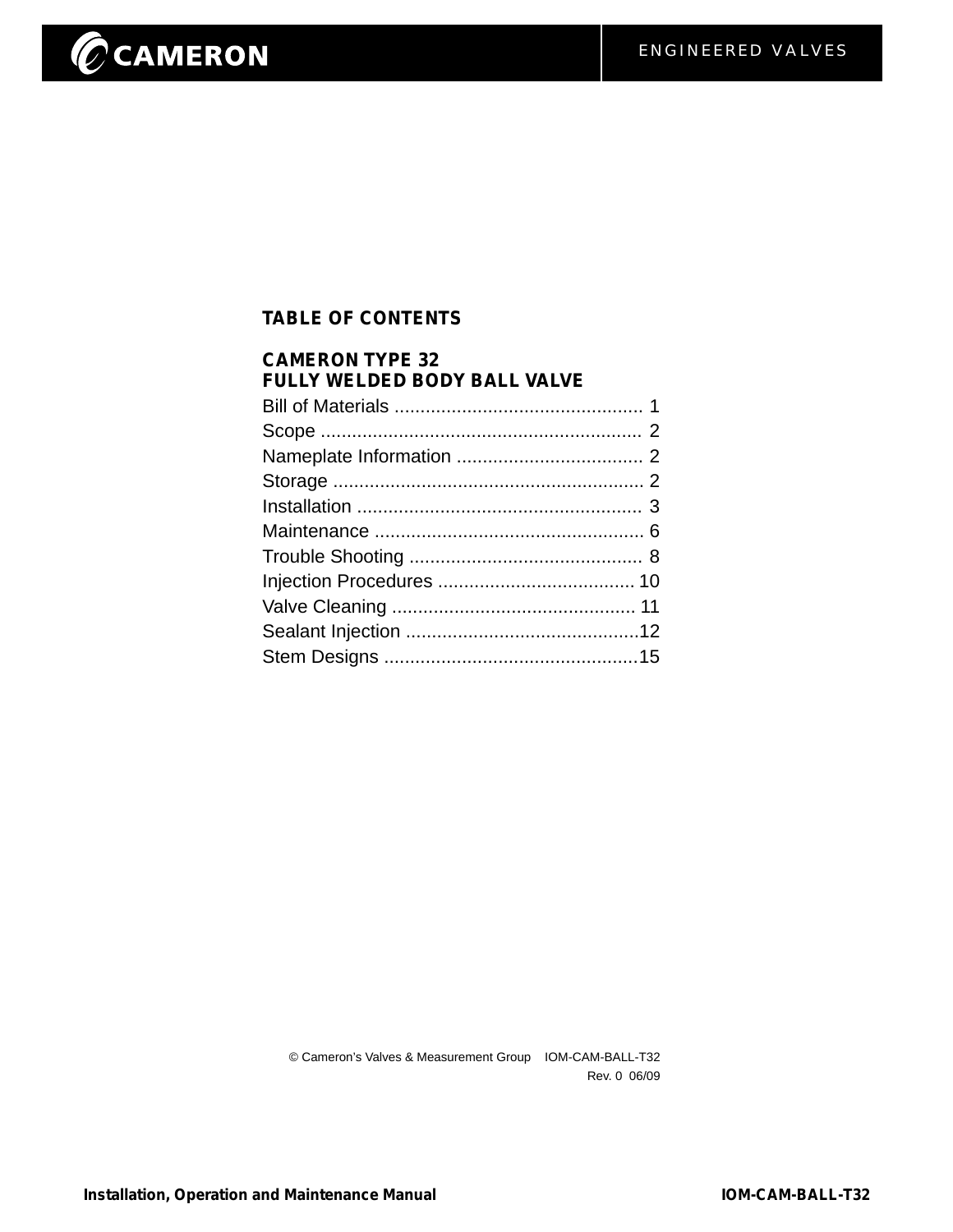# CCAMERON

## **TABLE OF CONTENTS**

| <b>CAMERON TYPE 32</b><br><b>FULLY WELDED BODY BALL VALVE</b> |  |
|---------------------------------------------------------------|--|
|                                                               |  |
|                                                               |  |
|                                                               |  |
|                                                               |  |
|                                                               |  |
|                                                               |  |
|                                                               |  |
|                                                               |  |
|                                                               |  |
|                                                               |  |
|                                                               |  |

© Cameron's Valves & Measurement Group IOM-CAM-BALL-T32 Rev. 0 06/09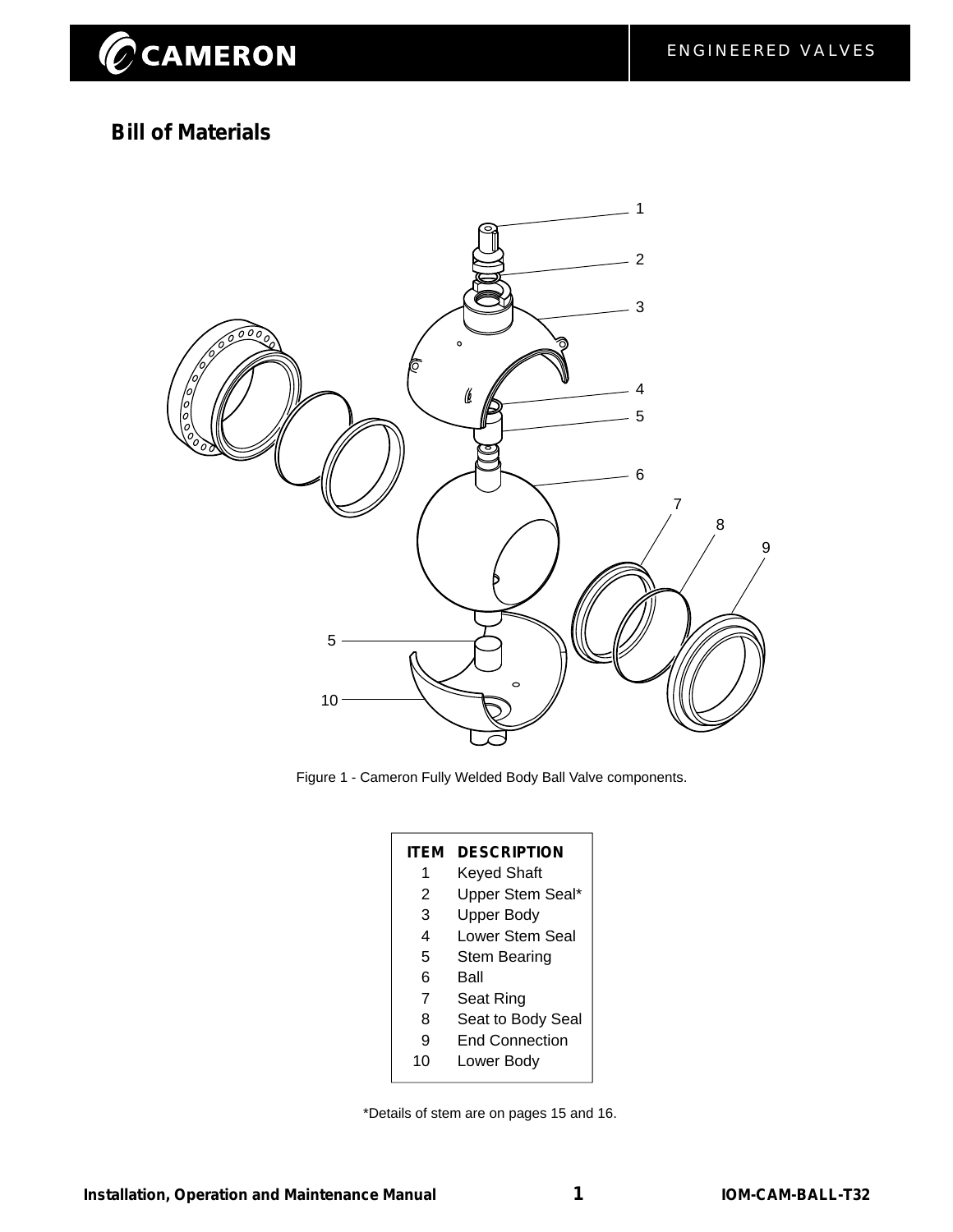## **Bill of Materials**



Figure 1 - Cameron Fully Welded Body Ball Valve components.

| <b>ITEM</b>    | <b>DESCRIPTION</b>    |
|----------------|-----------------------|
| 1              | <b>Keyed Shaft</b>    |
| 2              | Upper Stem Seal*      |
| 3              | Upper Body            |
| 4              | Lower Stem Seal       |
| 5              | <b>Stem Bearing</b>   |
| 6              | Ball                  |
| $\overline{7}$ | Seat Ring             |
| 8              | Seat to Body Seal     |
| 9              | <b>End Connection</b> |
| 10             | Lower Body            |

\*Details of stem are on pages 15 and 16.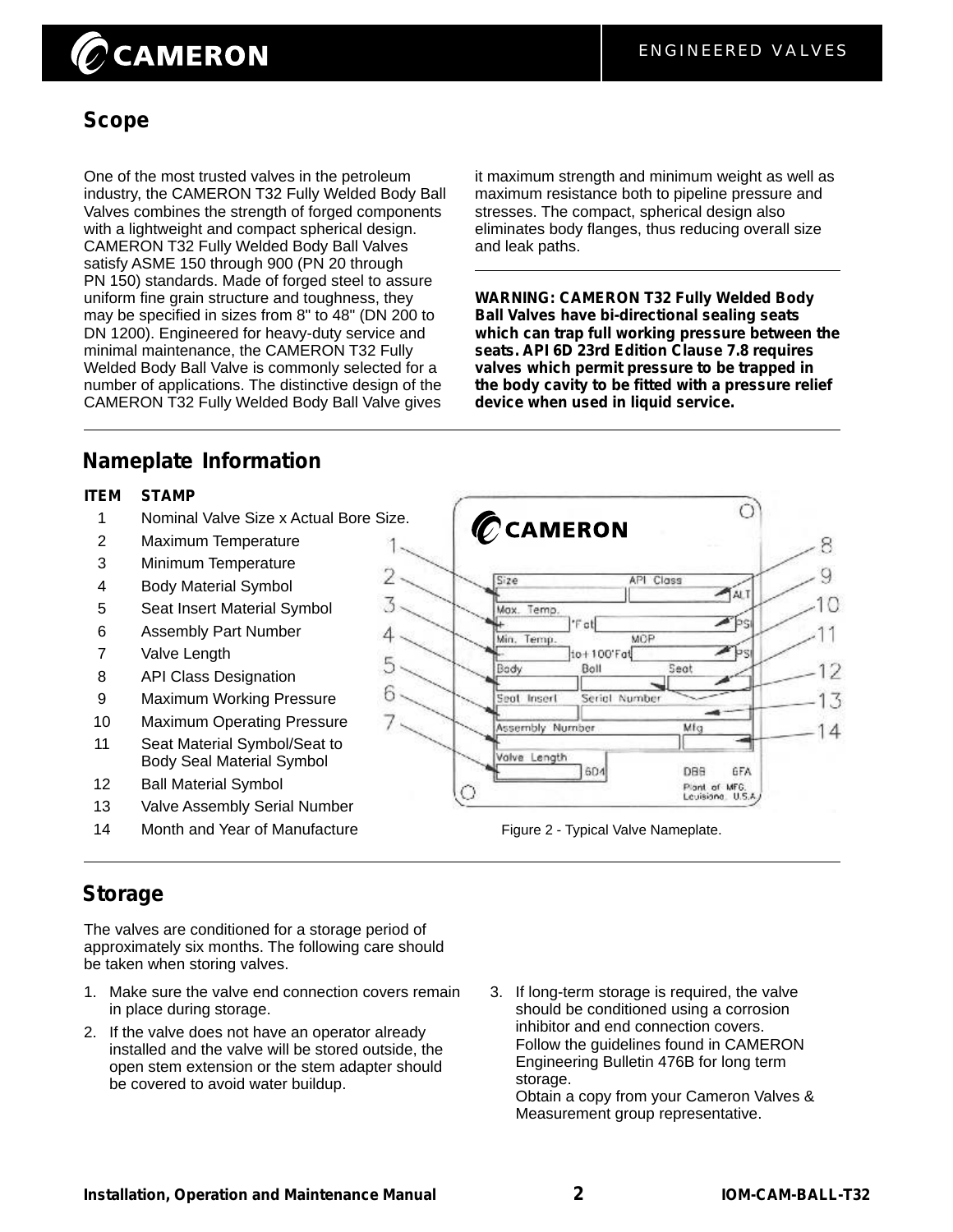# $\oslash$ CAMERON

## **Scope**

One of the most trusted valves in the petroleum industry, the CAMERON T32 Fully Welded Body Ball Valves combines the strength of forged components with a lightweight and compact spherical design. CAMERON T32 Fully Welded Body Ball Valves satisfy ASME 150 through 900 (PN 20 through PN 150) standards. Made of forged steel to assure uniform fine grain structure and toughness, they may be specified in sizes from 8" to 48" (DN 200 to DN 1200). Engineered for heavy-duty service and minimal maintenance, the CAMERON T32 Fully Welded Body Ball Valve is commonly selected for a number of applications. The distinctive design of the CAMERON T32 Fully Welded Body Ball Valve gives

it maximum strength and minimum weight as well as maximum resistance both to pipeline pressure and stresses. The compact, spherical design also eliminates body flanges, thus reducing overall size and leak paths.

**WARNING: CAMERON T32 Fully Welded Body Ball Valves have bi-directional sealing seats which can trap full working pressure between the seats. API 6D 23rd Edition Clause 7.8 requires valves which permit pressure to be trapped in the body cavity to be fitted with a pressure relief device when used in liquid service.**

## **Nameplate Information**

#### **ITEM STAMP**

1 Nominal Valve Size x Actual Bore Size.

 $\overline{\phantom{a}}$ 

3

4

6

- 2 Maximum Temperature
- 3 Minimum Temperature
- 4 Body Material Symbol
- 5 Seat Insert Material Symbol
- 6 Assembly Part Number
- 7 Valve Length
- 8 API Class Designation
- 9 Maximum Working Pressure
- 10 Maximum Operating Pressure
- 11 Seat Material Symbol/Seat to Body Seal Material Symbol
- 12 Ball Material Symbol
- 13 Valve Assembly Serial Number
- 14 Month and Year of Manufacture



Figure 2 - Typical Valve Nameplate.

## **Storage**

The valves are conditioned for a storage period of approximately six months. The following care should be taken when storing valves.

- 1. Make sure the valve end connection covers remain in place during storage.
- 2. If the valve does not have an operator already installed and the valve will be stored outside, the open stem extension or the stem adapter should be covered to avoid water buildup.
- 3. If long-term storage is required, the valve should be conditioned using a corrosion inhibitor and end connection covers. Follow the guidelines found in CAMERON Engineering Bulletin 476B for long term storage.

Obtain a copy from your Cameron Valves & Measurement group representative.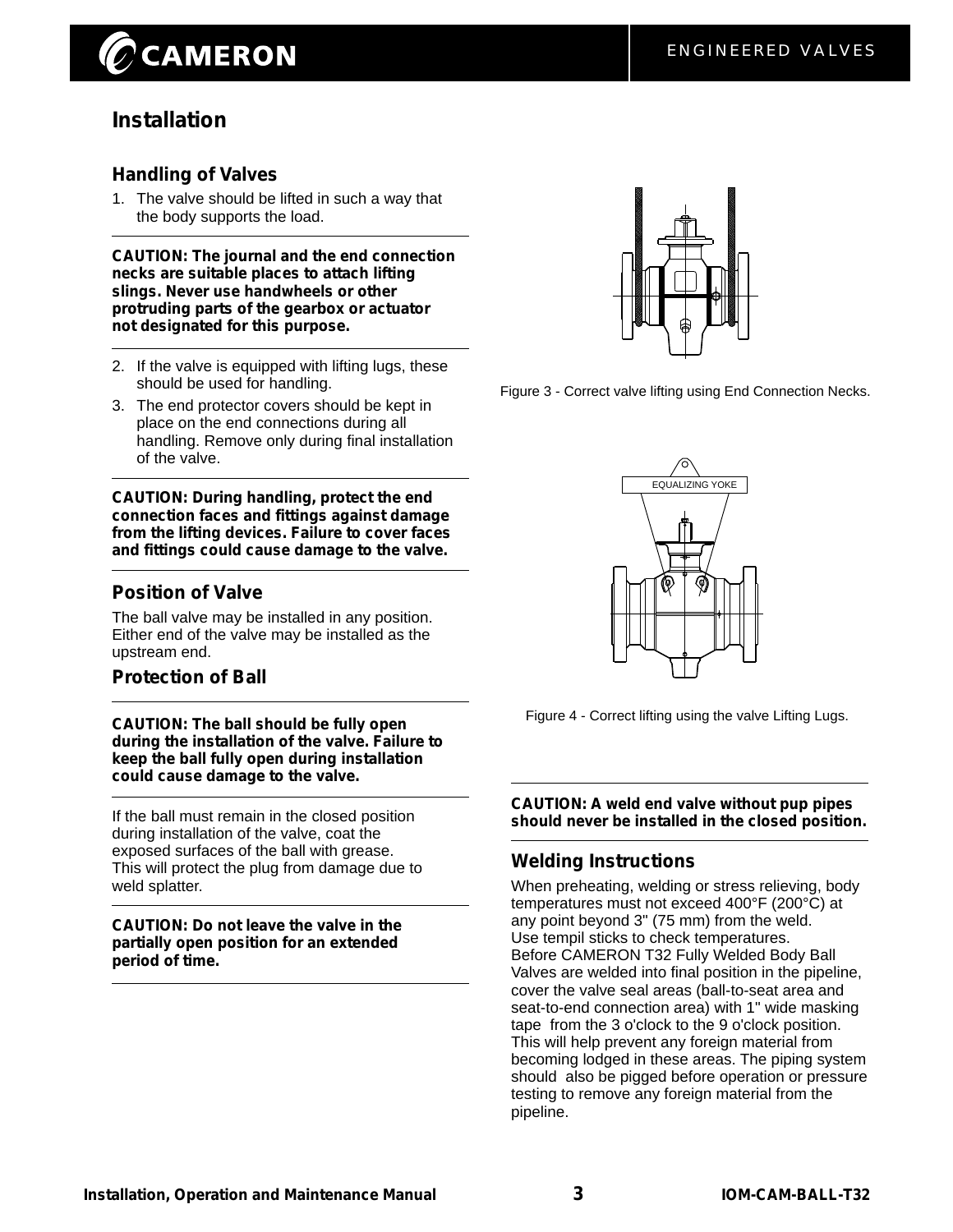## **CAMERON**

## **Installation**

#### **Handling of Valves**

1. The valve should be lifted in such a way that the body supports the load.

**CAUTION: The journal and the end connection necks are suitable places to attach lifting slings. Never use handwheels or other protruding parts of the gearbox or actuator not designated for this purpose.**

- 2. If the valve is equipped with lifting lugs, these should be used for handling.
- 3. The end protector covers should be kept in place on the end connections during all handling. Remove only during final installation of the valve.

**CAUTION: During handling, protect the end connection faces and fittings against damage from the lifting devices. Failure to cover faces and fittings could cause damage to the valve.**

#### **Position of Valve**

The ball valve may be installed in any position. Either end of the valve may be installed as the upstream end.

#### **Protection of Ball**

**CAUTION: The ball should be fully open during the installation of the valve. Failure to keep the ball fully open during installation could cause damage to the valve.**

If the ball must remain in the closed position during installation of the valve, coat the exposed surfaces of the ball with grease. This will protect the plug from damage due to weld splatter.

**CAUTION: Do not leave the valve in the partially open position for an extended period of time.**



Figure 3 - Correct valve lifting using End Connection Necks.



Figure 4 - Correct lifting using the valve Lifting Lugs.

**CAUTION: A weld end valve without pup pipes should never be installed in the closed position.**

#### **Welding Instructions**

When preheating, welding or stress relieving, body temperatures must not exceed 400°F (200°C) at any point beyond 3" (75 mm) from the weld. Use tempil sticks to check temperatures. Before CAMERON T32 Fully Welded Body Ball Valves are welded into final position in the pipeline, cover the valve seal areas (ball-to-seat area and seat-to-end connection area) with 1" wide masking tape from the 3 o'clock to the 9 o'clock position. This will help prevent any foreign material from becoming lodged in these areas. The piping system should also be pigged before operation or pressure testing to remove any foreign material from the pipeline.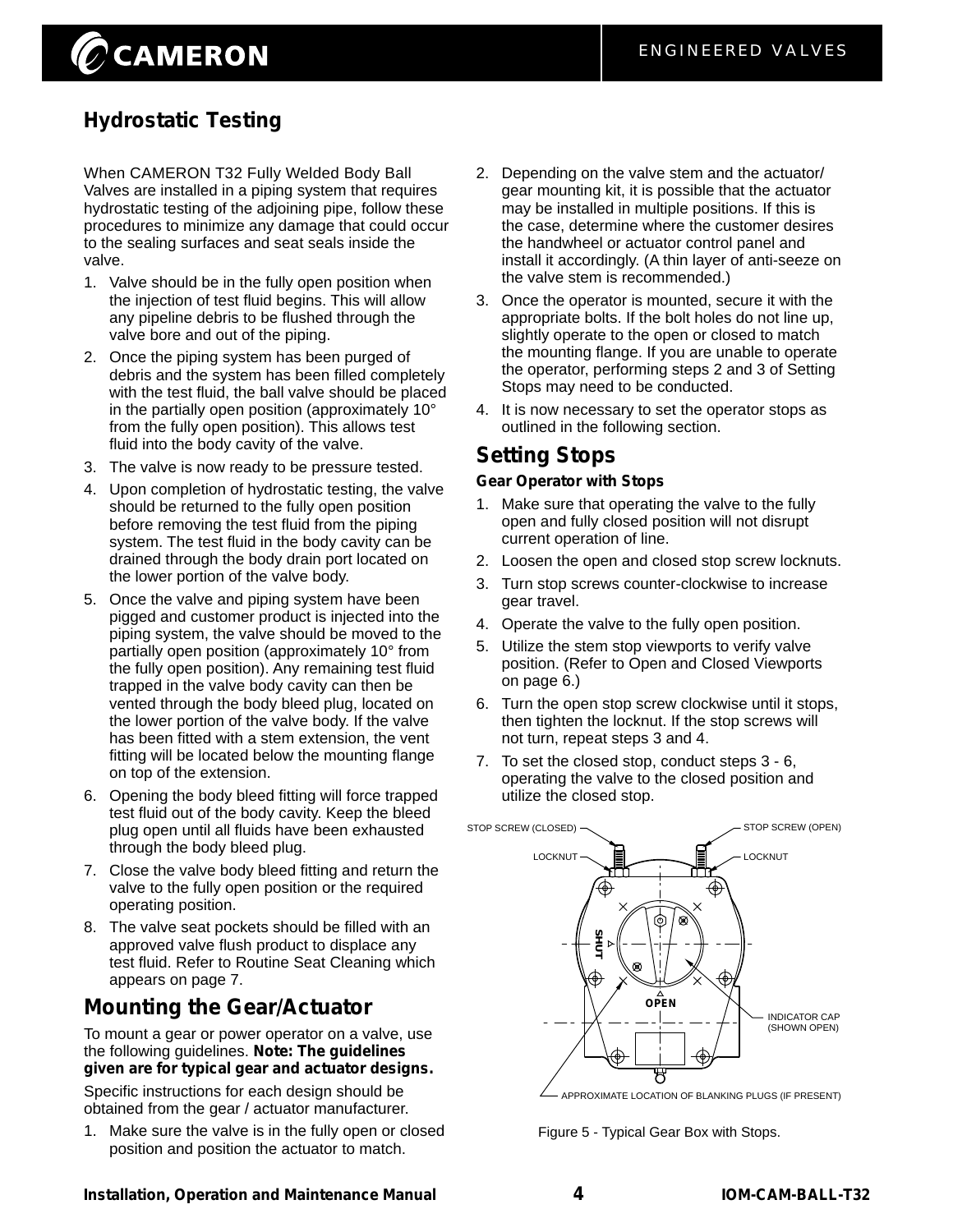## $\oslash$ CAMERON

## **Hydrostatic Testing**

When CAMERON T32 Fully Welded Body Ball Valves are installed in a piping system that requires hydrostatic testing of the adjoining pipe, follow these procedures to minimize any damage that could occur to the sealing surfaces and seat seals inside the valve.

- 1. Valve should be in the fully open position when the injection of test fluid begins. This will allow any pipeline debris to be flushed through the valve bore and out of the piping.
- 2. Once the piping system has been purged of debris and the system has been filled completely with the test fluid, the ball valve should be placed in the partially open position (approximately 10° from the fully open position). This allows test fluid into the body cavity of the valve.
- 3. The valve is now ready to be pressure tested.
- 4. Upon completion of hydrostatic testing, the valve should be returned to the fully open position before removing the test fluid from the piping system. The test fluid in the body cavity can be drained through the body drain port located on the lower portion of the valve body.
- 5. Once the valve and piping system have been pigged and customer product is injected into the piping system, the valve should be moved to the partially open position (approximately 10° from the fully open position). Any remaining test fluid trapped in the valve body cavity can then be vented through the body bleed plug, located on the lower portion of the valve body. If the valve has been fitted with a stem extension, the vent fitting will be located below the mounting flange on top of the extension.
- 6. Opening the body bleed fitting will force trapped test fluid out of the body cavity. Keep the bleed plug open until all fluids have been exhausted through the body bleed plug.
- 7. Close the valve body bleed fitting and return the valve to the fully open position or the required operating position.
- 8. The valve seat pockets should be filled with an approved valve flush product to displace any test fluid. Refer to Routine Seat Cleaning which appears on page 7.

## **Mounting the Gear/Actuator**

To mount a gear or power operator on a valve, use the following guidelines. **Note: The guidelines given are for typical gear and actuator designs.**

Specific instructions for each design should be obtained from the gear / actuator manufacturer.

1. Make sure the valve is in the fully open or closed position and position the actuator to match.

- 2. Depending on the valve stem and the actuator/ gear mounting kit, it is possible that the actuator may be installed in multiple positions. If this is the case, determine where the customer desires the handwheel or actuator control panel and install it accordingly. (A thin layer of anti-seeze on the valve stem is recommended.)
- 3. Once the operator is mounted, secure it with the appropriate bolts. If the bolt holes do not line up, slightly operate to the open or closed to match the mounting flange. If you are unable to operate the operator, performing steps 2 and 3 of Setting Stops may need to be conducted.
- 4. It is now necessary to set the operator stops as outlined in the following section.

### **Setting Stops**

#### **Gear Operator with Stops**

- 1. Make sure that operating the valve to the fully open and fully closed position will not disrupt current operation of line.
- 2. Loosen the open and closed stop screw locknuts.
- 3. Turn stop screws counter-clockwise to increase gear travel.
- 4. Operate the valve to the fully open position.
- 5. Utilize the stem stop viewports to verify valve position. (Refer to Open and Closed Viewports on page 6.)
- 6. Turn the open stop screw clockwise until it stops, then tighten the locknut. If the stop screws will not turn, repeat steps 3 and 4.
- 7. To set the closed stop, conduct steps 3 6, operating the valve to the closed position and utilize the closed stop.



APPROXIMATE LOCATION OF BLANKING PLUGS (IF PRESENT)

Figure 5 - Typical Gear Box with Stops.

#### **Installation, Operation and Maintenance Manual IOM-CAM-BALL-T32**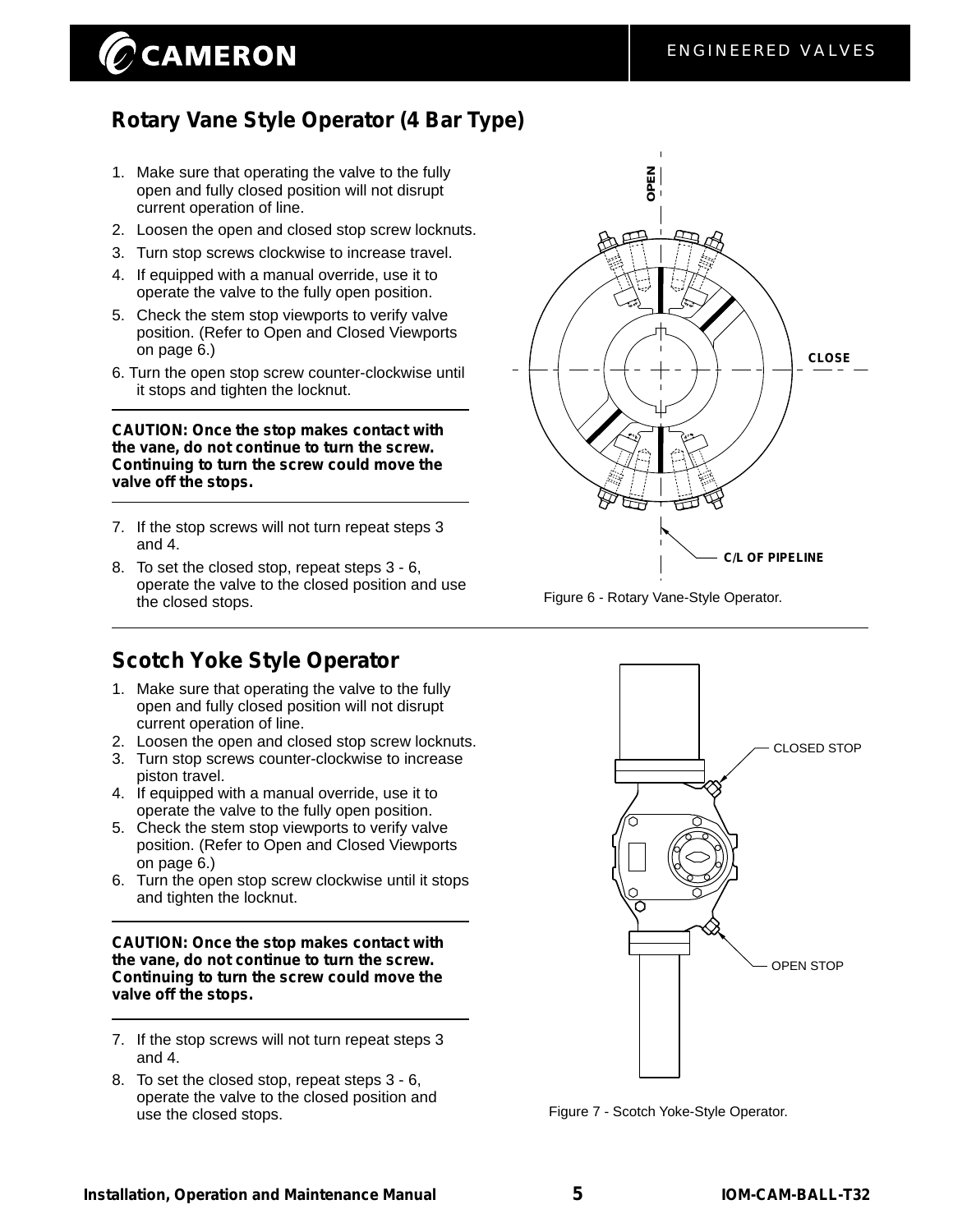## $\oslash$  CAMERON

## **Rotary Vane Style Operator (4 Bar Type)**

- 1. Make sure that operating the valve to the fully open and fully closed position will not disrupt current operation of line.
- 2. Loosen the open and closed stop screw locknuts.
- 3. Turn stop screws clockwise to increase travel.
- 4. If equipped with a manual override, use it to operate the valve to the fully open position.
- 5. Check the stem stop viewports to verify valve position. (Refer to Open and Closed Viewports on page 6.)
- 6. Turn the open stop screw counter-clockwise until it stops and tighten the locknut.

**CAUTION: Once the stop makes contact with the vane, do not continue to turn the screw. Continuing to turn the screw could move the valve off the stops.**

- 7. If the stop screws will not turn repeat steps 3 and 4.
- 8. To set the closed stop, repeat steps 3 6, operate the valve to the closed position and use the closed stops.

## **Scotch Yoke Style Operator**

- 1. Make sure that operating the valve to the fully open and fully closed position will not disrupt current operation of line.
- 2. Loosen the open and closed stop screw locknuts.
- 3. Turn stop screws counter-clockwise to increase piston travel.
- 4. If equipped with a manual override, use it to operate the valve to the fully open position.
- 5. Check the stem stop viewports to verify valve position. (Refer to Open and Closed Viewports on page 6.)
- 6. Turn the open stop screw clockwise until it stops and tighten the locknut.

#### **CAUTION: Once the stop makes contact with the vane, do not continue to turn the screw. Continuing to turn the screw could move the valve off the stops.**

- 7. If the stop screws will not turn repeat steps 3 and 4.
- 8. To set the closed stop, repeat steps 3 6, operate the valve to the closed position and use the closed stops.



Figure 6 - Rotary Vane-Style Operator.



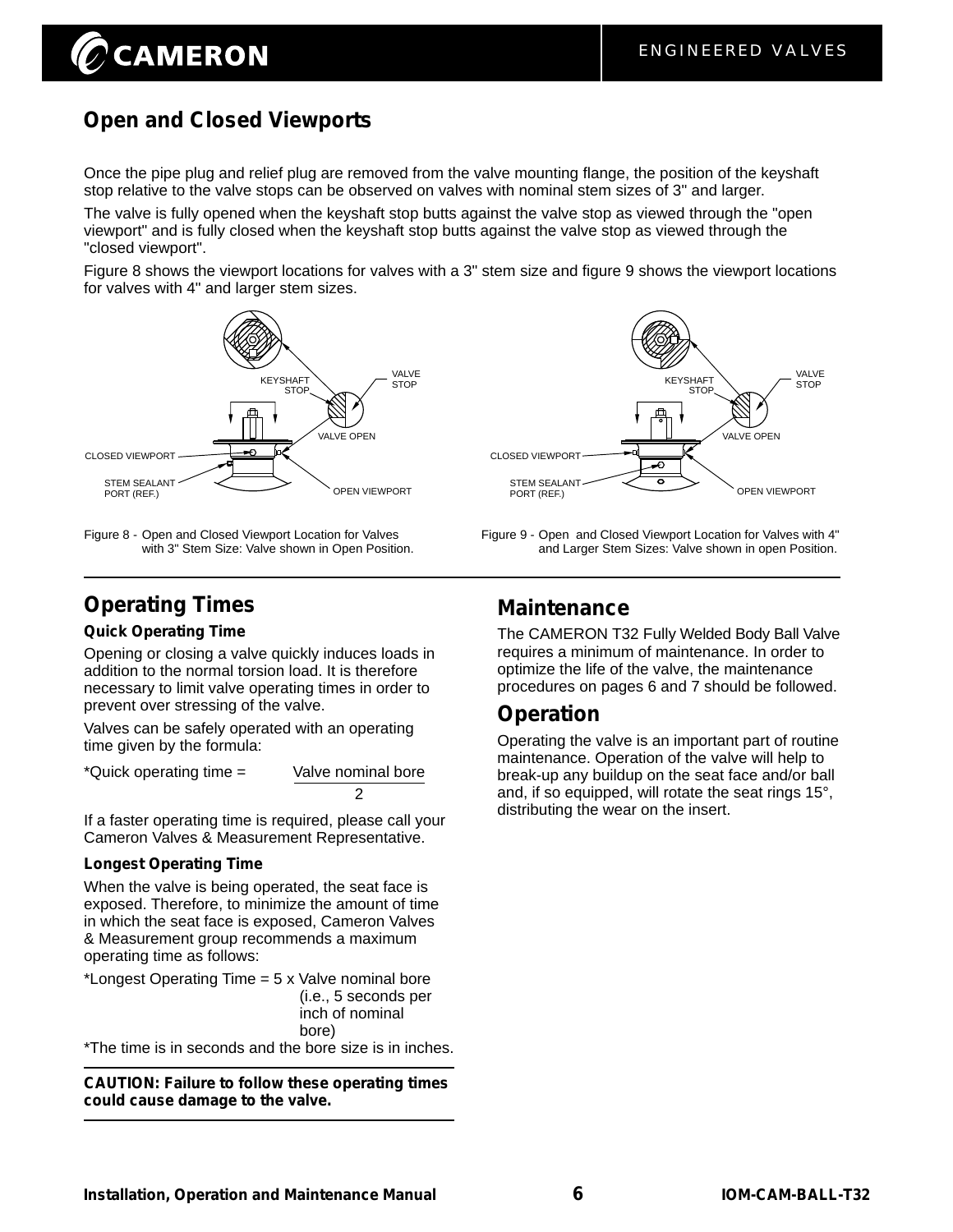## **Open and Closed Viewports**

**CAMERON** 

Once the pipe plug and relief plug are removed from the valve mounting flange, the position of the keyshaft stop relative to the valve stops can be observed on valves with nominal stem sizes of 3" and larger.

The valve is fully opened when the keyshaft stop butts against the valve stop as viewed through the "open viewport" and is fully closed when the keyshaft stop butts against the valve stop as viewed through the "closed viewport".

Figure 8 shows the viewport locations for valves with a 3" stem size and figure 9 shows the viewport locations for valves with 4" and larger stem sizes.



Figure 9 - Open Figure 8 - Open and Closed Viewport Location for Valves and Closed Viewport Location for Valves with 4" with 3" Stem Size: Valve shown in Open Position.



## **Operating Times**

#### **Quick Operating Time**

Opening or closing a valve quickly induces loads in addition to the normal torsion load. It is therefore necessary to limit valve operating times in order to prevent over stressing of the valve.

Valves can be safely operated with an operating time given by the formula:

\*Quick operating time = Valve nominal bore 2

If a faster operating time is required, please call your Cameron Valves & Measurement Representative.

#### **Longest Operating Time**

When the valve is being operated, the seat face is exposed. Therefore, to minimize the amount of time in which the seat face is exposed, Cameron Valves & Measurement group recommends a maximum operating time as follows:

\*Longest Operating Time = 5 x Valve nominal bore (i.e., 5 seconds per inch of nominal bore)

\*The time is in seconds and the bore size is in inches.

**CAUTION: Failure to follow these operating times could cause damage to the valve.**

### **Maintenance**

The CAMERON T32 Fully Welded Body Ball Valve requires a minimum of maintenance. In order to optimize the life of the valve, the maintenance procedures on pages 6 and 7 should be followed.

and Larger Stem Sizes: Valve shown in open Position.

### **Operation**

Operating the valve is an important part of routine maintenance. Operation of the valve will help to break-up any buildup on the seat face and/or ball and, if so equipped, will rotate the seat rings 15°, distributing the wear on the insert.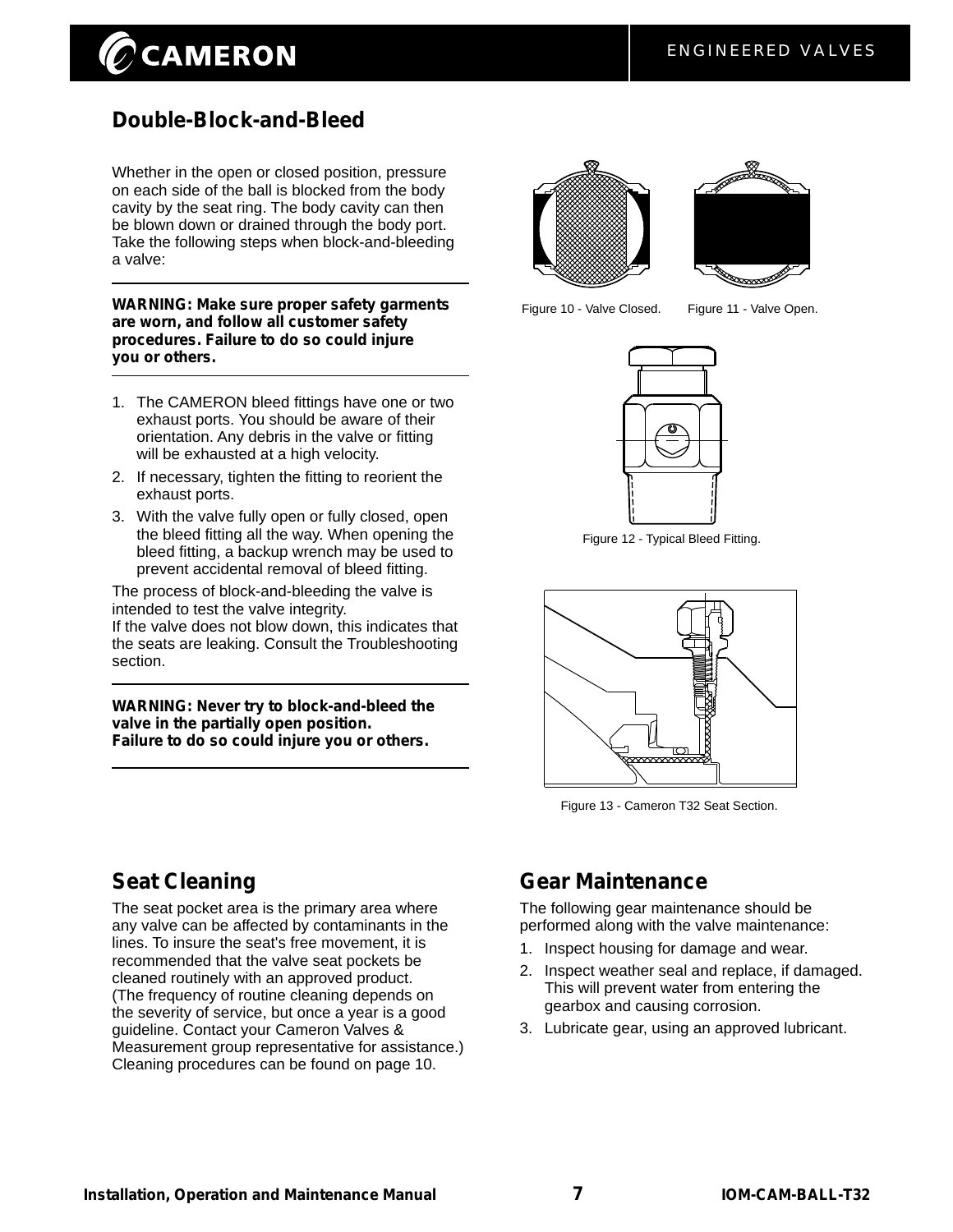## **CAMERON**

## **Double-Block-and-Bleed**

Whether in the open or closed position, pressure on each side of the ball is blocked from the body cavity by the seat ring. The body cavity can then be blown down or drained through the body port. Take the following steps when block-and-bleeding a valve:

**WARNING: Make sure proper safety garments are worn, and follow all customer safety procedures. Failure to do so could injure you or others.**

- 1. The CAMERON bleed fittings have one or two exhaust ports. You should be aware of their orientation. Any debris in the valve or fitting will be exhausted at a high velocity.
- 2. If necessary, tighten the fitting to reorient the exhaust ports.
- 3. With the valve fully open or fully closed, open the bleed fitting all the way. When opening the bleed fitting, a backup wrench may be used to prevent accidental removal of bleed fitting.

The process of block-and-bleeding the valve is intended to test the valve integrity. If the valve does not blow down, this indicates that

the seats are leaking. Consult the Troubleshooting section.

**WARNING: Never try to block-and-bleed the valve in the partially open position. Failure to do so could injure you or others.**





Figure 10 - Valve Closed. Figure 11 - Valve Open.



Figure 12 - Typical Bleed Fitting.



Figure 13 - Cameron T32 Seat Section.

## **Seat Cleaning**

The seat pocket area is the primary area where any valve can be affected by contaminants in the lines. To insure the seat's free movement, it is recommended that the valve seat pockets be cleaned routinely with an approved product. (The frequency of routine cleaning depends on the severity of service, but once a year is a good guideline. Contact your Cameron Valves & Measurement group representative for assistance.) Cleaning procedures can be found on page 10.

## **Gear Maintenance**

The following gear maintenance should be performed along with the valve maintenance:

- 1. Inspect housing for damage and wear.
- 2. Inspect weather seal and replace, if damaged. This will prevent water from entering the gearbox and causing corrosion.
- 3. Lubricate gear, using an approved lubricant.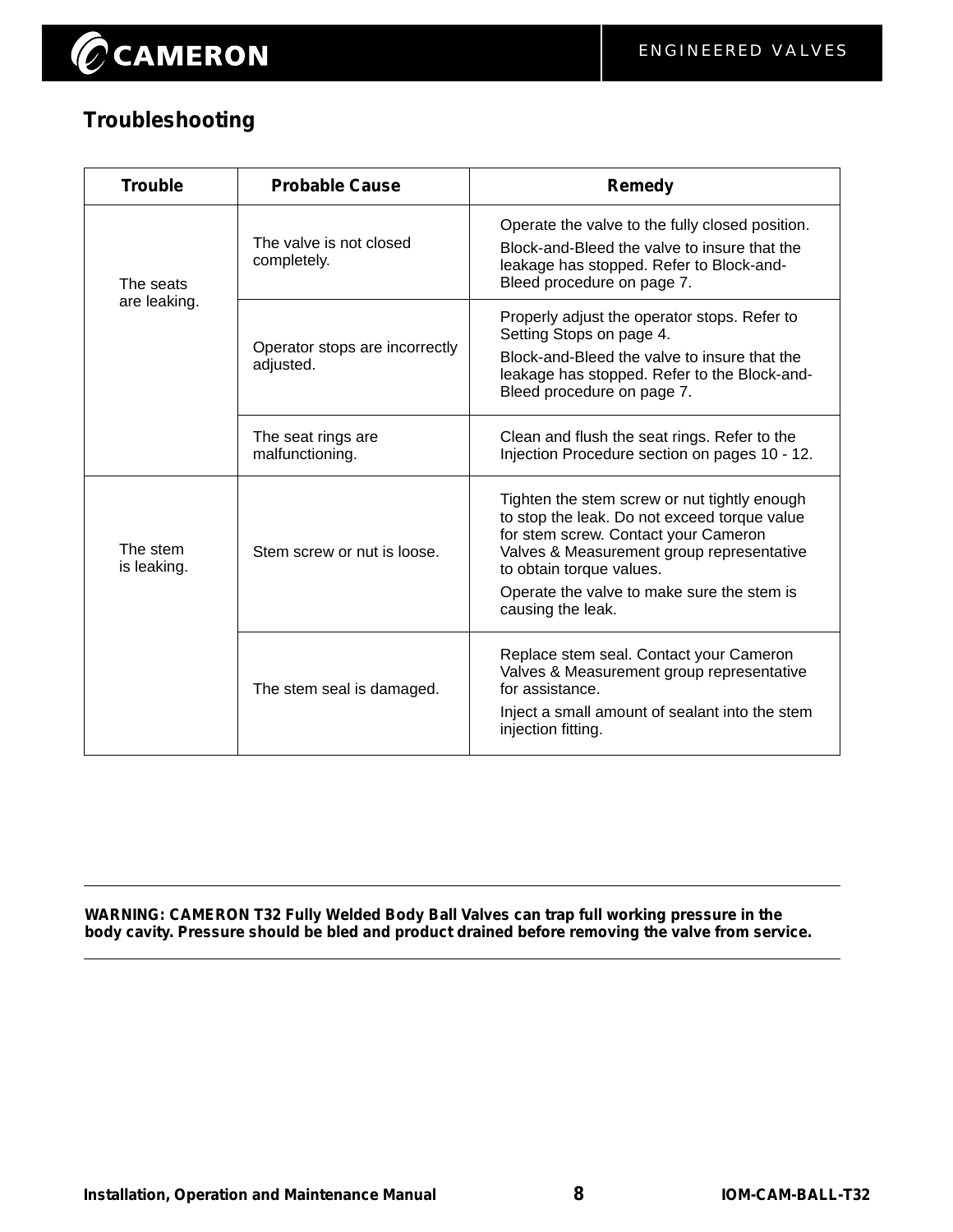## **Troubleshooting**

| <b>Trouble</b>          | <b>Probable Cause</b>                       | <b>Remedy</b>                                                                                                                                                                                                                                                                    |
|-------------------------|---------------------------------------------|----------------------------------------------------------------------------------------------------------------------------------------------------------------------------------------------------------------------------------------------------------------------------------|
| The seats               | The valve is not closed<br>completely.      | Operate the valve to the fully closed position.<br>Block-and-Bleed the valve to insure that the<br>leakage has stopped. Refer to Block-and-<br>Bleed procedure on page 7.                                                                                                        |
| are leaking.            | Operator stops are incorrectly<br>adjusted. | Properly adjust the operator stops. Refer to<br>Setting Stops on page 4.<br>Block-and-Bleed the valve to insure that the<br>leakage has stopped. Refer to the Block-and-<br>Bleed procedure on page 7.                                                                           |
|                         | The seat rings are<br>malfunctioning.       | Clean and flush the seat rings. Refer to the<br>Injection Procedure section on pages 10 - 12.                                                                                                                                                                                    |
| The stem<br>is leaking. | Stem screw or nut is loose.                 | Tighten the stem screw or nut tightly enough<br>to stop the leak. Do not exceed torque value<br>for stem screw. Contact your Cameron<br>Valves & Measurement group representative<br>to obtain torque values.<br>Operate the valve to make sure the stem is<br>causing the leak. |
|                         | The stem seal is damaged.                   | Replace stem seal. Contact your Cameron<br>Valves & Measurement group representative<br>for assistance.<br>Inject a small amount of sealant into the stem<br>injection fitting.                                                                                                  |

**WARNING: CAMERON T32 Fully Welded Body Ball Valves can trap full working pressure in the body cavity. Pressure should be bled and product drained before removing the valve from service.**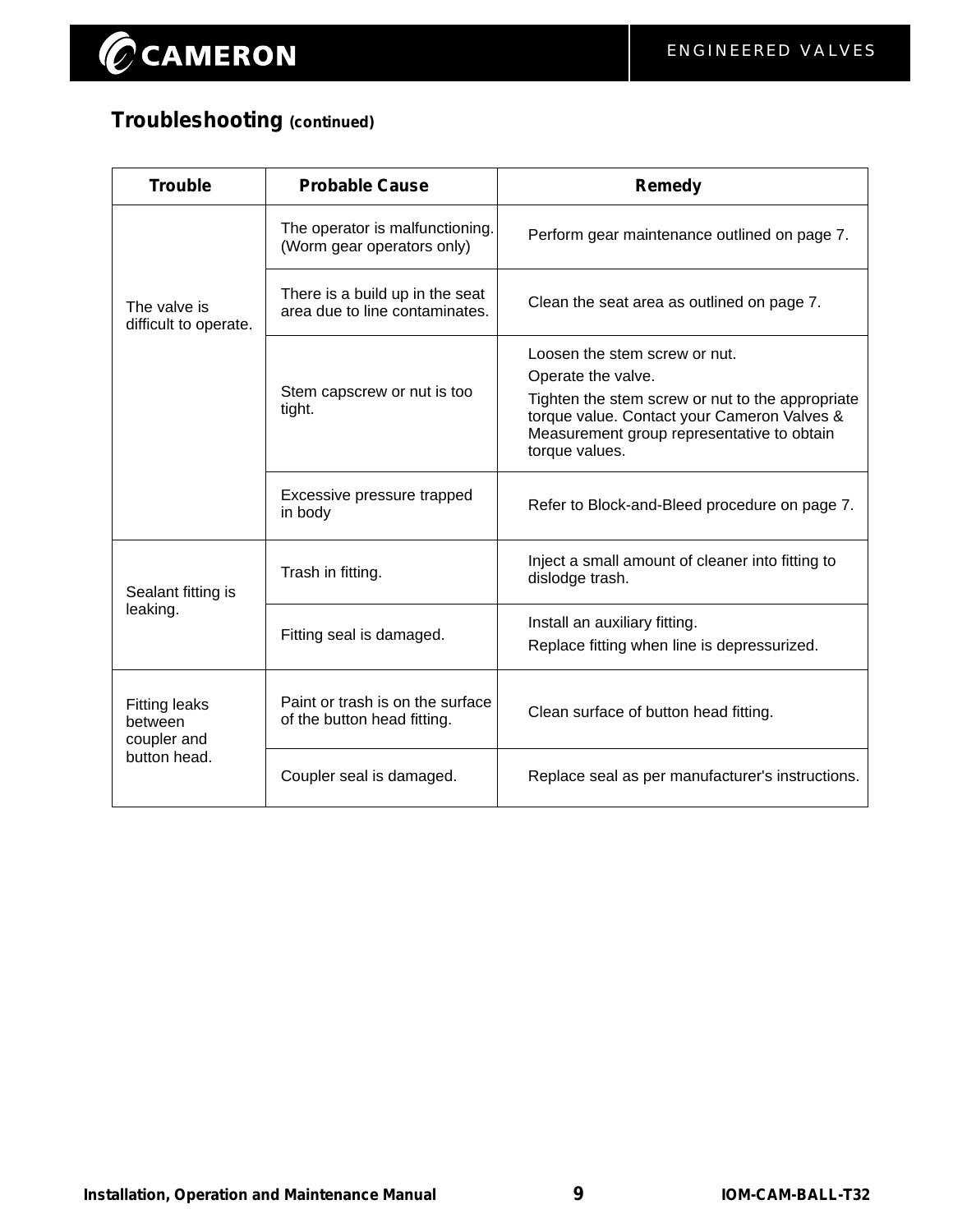## **Troubleshooting (continued)**

| <b>Trouble</b>                                 | <b>Probable Cause</b>                                             | Remedy                                                                                                                                                                                                                 |
|------------------------------------------------|-------------------------------------------------------------------|------------------------------------------------------------------------------------------------------------------------------------------------------------------------------------------------------------------------|
|                                                | The operator is malfunctioning.<br>(Worm gear operators only)     | Perform gear maintenance outlined on page 7.                                                                                                                                                                           |
| The valve is<br>difficult to operate.          | There is a build up in the seat<br>area due to line contaminates. | Clean the seat area as outlined on page 7.                                                                                                                                                                             |
|                                                | Stem capscrew or nut is too<br>tight.                             | Loosen the stem screw or nut.<br>Operate the valve.<br>Tighten the stem screw or nut to the appropriate<br>torque value. Contact your Cameron Valves &<br>Measurement group representative to obtain<br>torque values. |
|                                                | Excessive pressure trapped<br>in body                             | Refer to Block-and-Bleed procedure on page 7.                                                                                                                                                                          |
| Sealant fitting is                             | Trash in fitting.                                                 | Inject a small amount of cleaner into fitting to<br>dislodge trash.                                                                                                                                                    |
| leaking.                                       | Fitting seal is damaged.                                          | Install an auxiliary fitting.<br>Replace fitting when line is depressurized.                                                                                                                                           |
| <b>Fitting leaks</b><br>between<br>coupler and | Paint or trash is on the surface<br>of the button head fitting.   | Clean surface of button head fitting.                                                                                                                                                                                  |
| button head.                                   | Coupler seal is damaged.                                          | Replace seal as per manufacturer's instructions.                                                                                                                                                                       |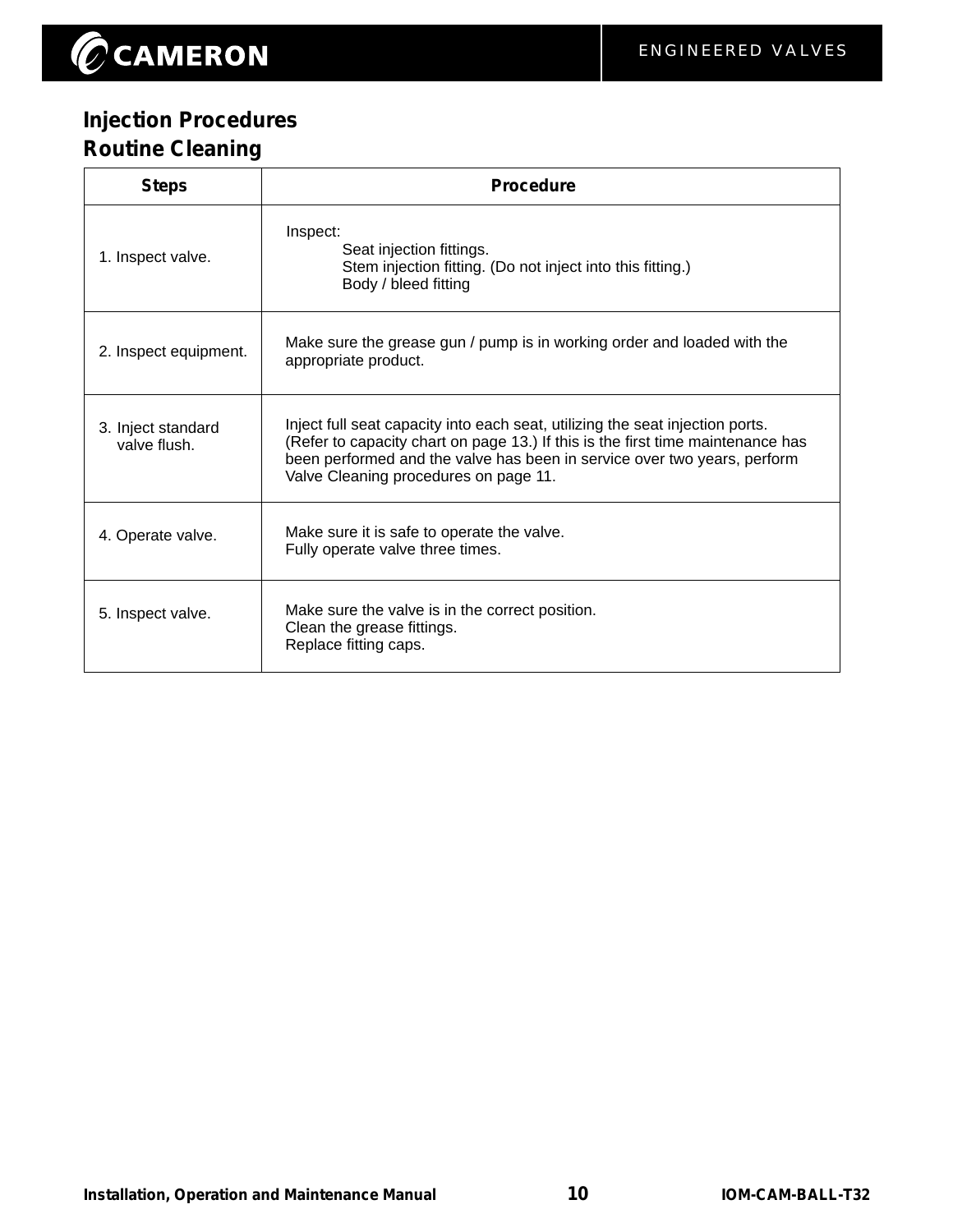## **Injection Procedures Routine Cleaning**

| <b>Steps</b>                       | <b>Procedure</b>                                                                                                                                                                                                                                                                      |
|------------------------------------|---------------------------------------------------------------------------------------------------------------------------------------------------------------------------------------------------------------------------------------------------------------------------------------|
| 1. Inspect valve.                  | Inspect:<br>Seat injection fittings.<br>Stem injection fitting. (Do not inject into this fitting.)<br>Body / bleed fitting                                                                                                                                                            |
| 2. Inspect equipment.              | Make sure the grease gun / pump is in working order and loaded with the<br>appropriate product.                                                                                                                                                                                       |
| 3. Inject standard<br>valve flush. | Inject full seat capacity into each seat, utilizing the seat injection ports.<br>(Refer to capacity chart on page 13.) If this is the first time maintenance has<br>been performed and the valve has been in service over two years, perform<br>Valve Cleaning procedures on page 11. |
| 4. Operate valve.                  | Make sure it is safe to operate the valve.<br>Fully operate valve three times.                                                                                                                                                                                                        |
| 5. Inspect valve.                  | Make sure the valve is in the correct position.<br>Clean the grease fittings.<br>Replace fitting caps.                                                                                                                                                                                |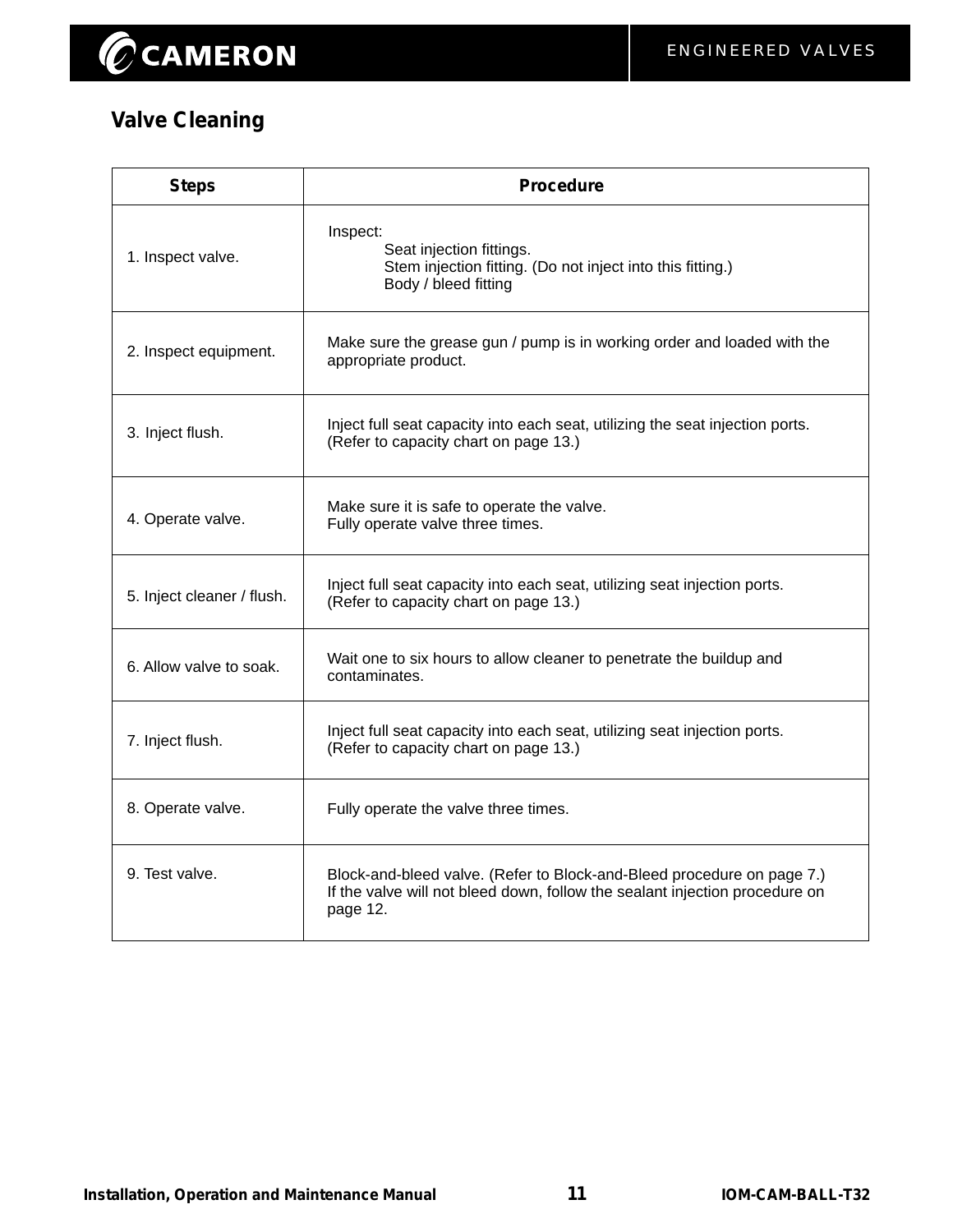## **Valve Cleaning**

| <b>Steps</b>               | <b>Procedure</b>                                                                                                                                                  |
|----------------------------|-------------------------------------------------------------------------------------------------------------------------------------------------------------------|
| 1. Inspect valve.          | Inspect:<br>Seat injection fittings.<br>Stem injection fitting. (Do not inject into this fitting.)<br>Body / bleed fitting                                        |
| 2. Inspect equipment.      | Make sure the grease gun / pump is in working order and loaded with the<br>appropriate product.                                                                   |
| 3. Inject flush.           | Inject full seat capacity into each seat, utilizing the seat injection ports.<br>(Refer to capacity chart on page 13.)                                            |
| 4. Operate valve.          | Make sure it is safe to operate the valve.<br>Fully operate valve three times.                                                                                    |
| 5. Inject cleaner / flush. | Inject full seat capacity into each seat, utilizing seat injection ports.<br>(Refer to capacity chart on page 13.)                                                |
| 6. Allow valve to soak.    | Wait one to six hours to allow cleaner to penetrate the buildup and<br>contaminates.                                                                              |
| 7. Inject flush.           | Inject full seat capacity into each seat, utilizing seat injection ports.<br>(Refer to capacity chart on page 13.)                                                |
| 8. Operate valve.          | Fully operate the valve three times.                                                                                                                              |
| 9. Test valve.             | Block-and-bleed valve. (Refer to Block-and-Bleed procedure on page 7.)<br>If the valve will not bleed down, follow the sealant injection procedure on<br>page 12. |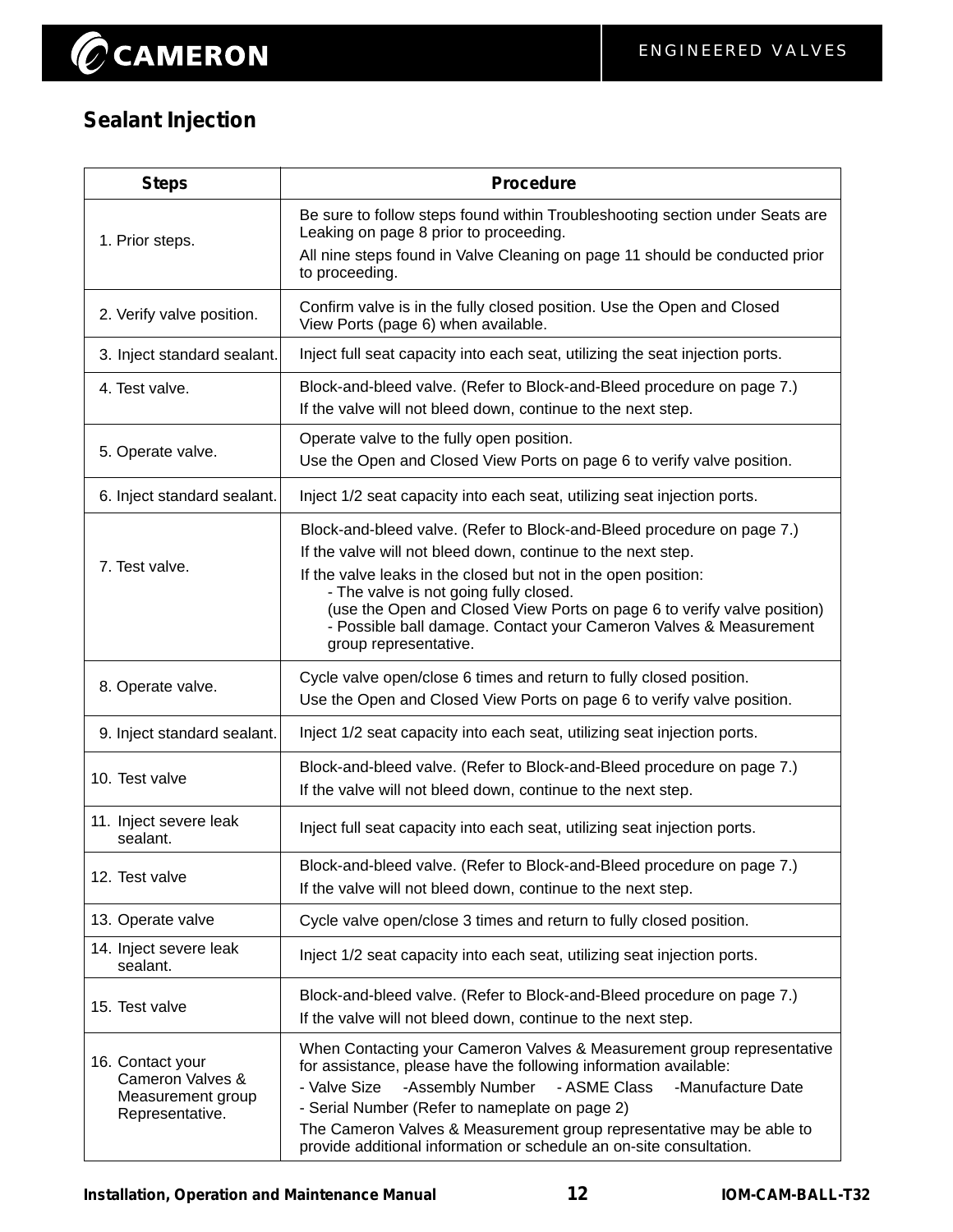## **Sealant Injection**

| <b>Steps</b>                                                                 | <b>Procedure</b>                                                                                                                                                                                                                                                                                                                                                                                                            |
|------------------------------------------------------------------------------|-----------------------------------------------------------------------------------------------------------------------------------------------------------------------------------------------------------------------------------------------------------------------------------------------------------------------------------------------------------------------------------------------------------------------------|
| 1. Prior steps.                                                              | Be sure to follow steps found within Troubleshooting section under Seats are<br>Leaking on page 8 prior to proceeding.<br>All nine steps found in Valve Cleaning on page 11 should be conducted prior<br>to proceeding.                                                                                                                                                                                                     |
| 2. Verify valve position.                                                    | Confirm valve is in the fully closed position. Use the Open and Closed<br>View Ports (page 6) when available.                                                                                                                                                                                                                                                                                                               |
| 3. Inject standard sealant.                                                  | Inject full seat capacity into each seat, utilizing the seat injection ports.                                                                                                                                                                                                                                                                                                                                               |
| 4. Test valve.                                                               | Block-and-bleed valve. (Refer to Block-and-Bleed procedure on page 7.)<br>If the valve will not bleed down, continue to the next step.                                                                                                                                                                                                                                                                                      |
| 5. Operate valve.                                                            | Operate valve to the fully open position.<br>Use the Open and Closed View Ports on page 6 to verify valve position.                                                                                                                                                                                                                                                                                                         |
| 6. Inject standard sealant.                                                  | Inject 1/2 seat capacity into each seat, utilizing seat injection ports.                                                                                                                                                                                                                                                                                                                                                    |
| 7. Test valve.                                                               | Block-and-bleed valve. (Refer to Block-and-Bleed procedure on page 7.)<br>If the valve will not bleed down, continue to the next step.<br>If the valve leaks in the closed but not in the open position:<br>- The valve is not going fully closed.<br>(use the Open and Closed View Ports on page 6 to verify valve position)<br>- Possible ball damage. Contact your Cameron Valves & Measurement<br>group representative. |
| 8. Operate valve.                                                            | Cycle valve open/close 6 times and return to fully closed position.<br>Use the Open and Closed View Ports on page 6 to verify valve position.                                                                                                                                                                                                                                                                               |
| 9. Inject standard sealant.                                                  | Inject 1/2 seat capacity into each seat, utilizing seat injection ports.                                                                                                                                                                                                                                                                                                                                                    |
| 10. Test valve                                                               | Block-and-bleed valve. (Refer to Block-and-Bleed procedure on page 7.)<br>If the valve will not bleed down, continue to the next step.                                                                                                                                                                                                                                                                                      |
| 11. Inject severe leak<br>sealant.                                           | Inject full seat capacity into each seat, utilizing seat injection ports.                                                                                                                                                                                                                                                                                                                                                   |
| 12. Test valve                                                               | Block-and-bleed valve. (Refer to Block-and-Bleed procedure on page 7.)<br>If the valve will not bleed down, continue to the next step.                                                                                                                                                                                                                                                                                      |
| 13. Operate valve                                                            | Cycle valve open/close 3 times and return to fully closed position.                                                                                                                                                                                                                                                                                                                                                         |
| 14. Inject severe leak<br>sealant.                                           | Inject 1/2 seat capacity into each seat, utilizing seat injection ports.                                                                                                                                                                                                                                                                                                                                                    |
| 15. Test valve                                                               | Block-and-bleed valve. (Refer to Block-and-Bleed procedure on page 7.)<br>If the valve will not bleed down, continue to the next step.                                                                                                                                                                                                                                                                                      |
| 16. Contact your<br>Cameron Valves &<br>Measurement group<br>Representative. | When Contacting your Cameron Valves & Measurement group representative<br>for assistance, please have the following information available:<br>- Valve Size<br>-Assembly Number<br>- ASME Class<br>-Manufacture Date<br>- Serial Number (Refer to nameplate on page 2)<br>The Cameron Valves & Measurement group representative may be able to<br>provide additional information or schedule an on-site consultation.        |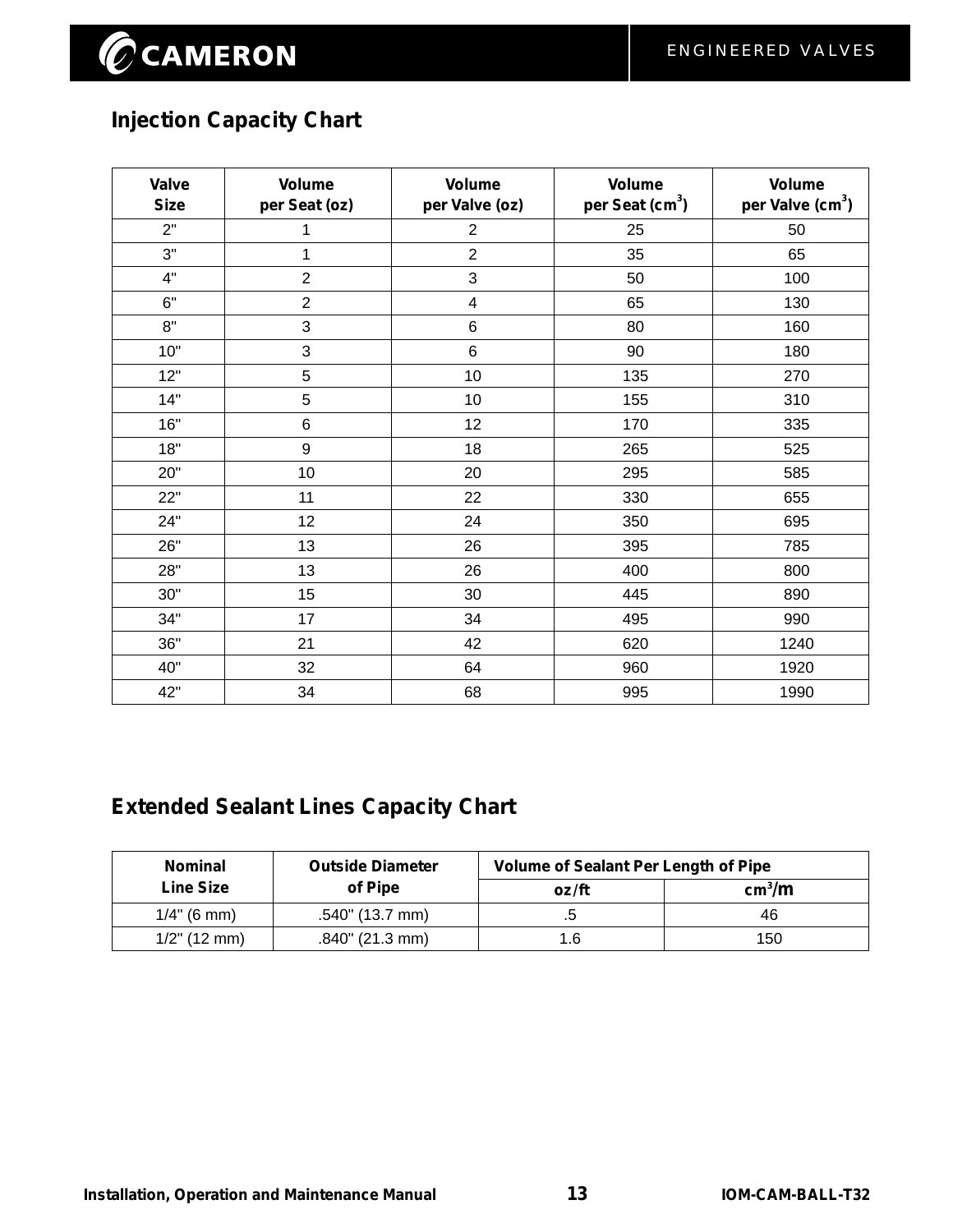## **Injection Capacity Chart**

| Valve<br><b>Size</b> | <b>Volume</b><br>per Seat (oz) | <b>Volume</b><br>per Valve (oz) | <b>Volume</b><br>per Seat (cm <sup>3</sup> ) | <b>Volume</b><br>per Valve (cm <sup>3</sup> ) |
|----------------------|--------------------------------|---------------------------------|----------------------------------------------|-----------------------------------------------|
| 2"                   | 1                              | $\overline{2}$                  | 25                                           | 50                                            |
| 3"                   | 1                              | $\overline{2}$                  | 35                                           | 65                                            |
| 4"                   | $\overline{2}$                 | $\mathbf{3}$                    | 50                                           | 100                                           |
| 6"                   | $\overline{2}$                 | 4                               | 65                                           | 130                                           |
| 8"                   | 3                              | $\,6\,$                         | 80                                           | 160                                           |
| 10"                  | 3                              | $\,6$                           | 90                                           | 180                                           |
| 12"                  | 5                              | 10                              | 135                                          | 270                                           |
| 14"                  | 5                              | 10                              | 155                                          | 310                                           |
| 16"                  | 6                              | 12                              | 170                                          | 335                                           |
| 18"                  | 9                              | 18                              | 265                                          | 525                                           |
| 20"                  | 10                             | 20                              | 295                                          | 585                                           |
| 22"                  | 11                             | 22                              | 330                                          | 655                                           |
| 24"                  | 12                             | 24                              | 350                                          | 695                                           |
| 26"                  | 13                             | 26                              | 395                                          | 785                                           |
| 28"                  | 13                             | 26                              | 400                                          | 800                                           |
| 30"                  | 15                             | 30                              | 445                                          | 890                                           |
| 34"                  | 17                             | 34                              | 495                                          | 990                                           |
| 36"                  | 21                             | 42                              | 620                                          | 1240                                          |
| 40"                  | 32                             | 64                              | 960                                          | 1920                                          |
| 42"                  | 34                             | 68                              | 995                                          | 1990                                          |

## **Extended Sealant Lines Capacity Chart**

| <b>Nominal</b>  | <b>Outside Diameter</b> | <b>Volume of Sealant Per Length of Pipe</b> |                    |
|-----------------|-------------------------|---------------------------------------------|--------------------|
| Line Size       | of Pipe                 | oz/ft                                       | cm <sup>3</sup> /m |
| $1/4$ " (6 mm)  | .540" (13.7 mm)         |                                             | 46                 |
| $1/2$ " (12 mm) | $.840$ " (21.3 mm)      | 5.                                          | 150                |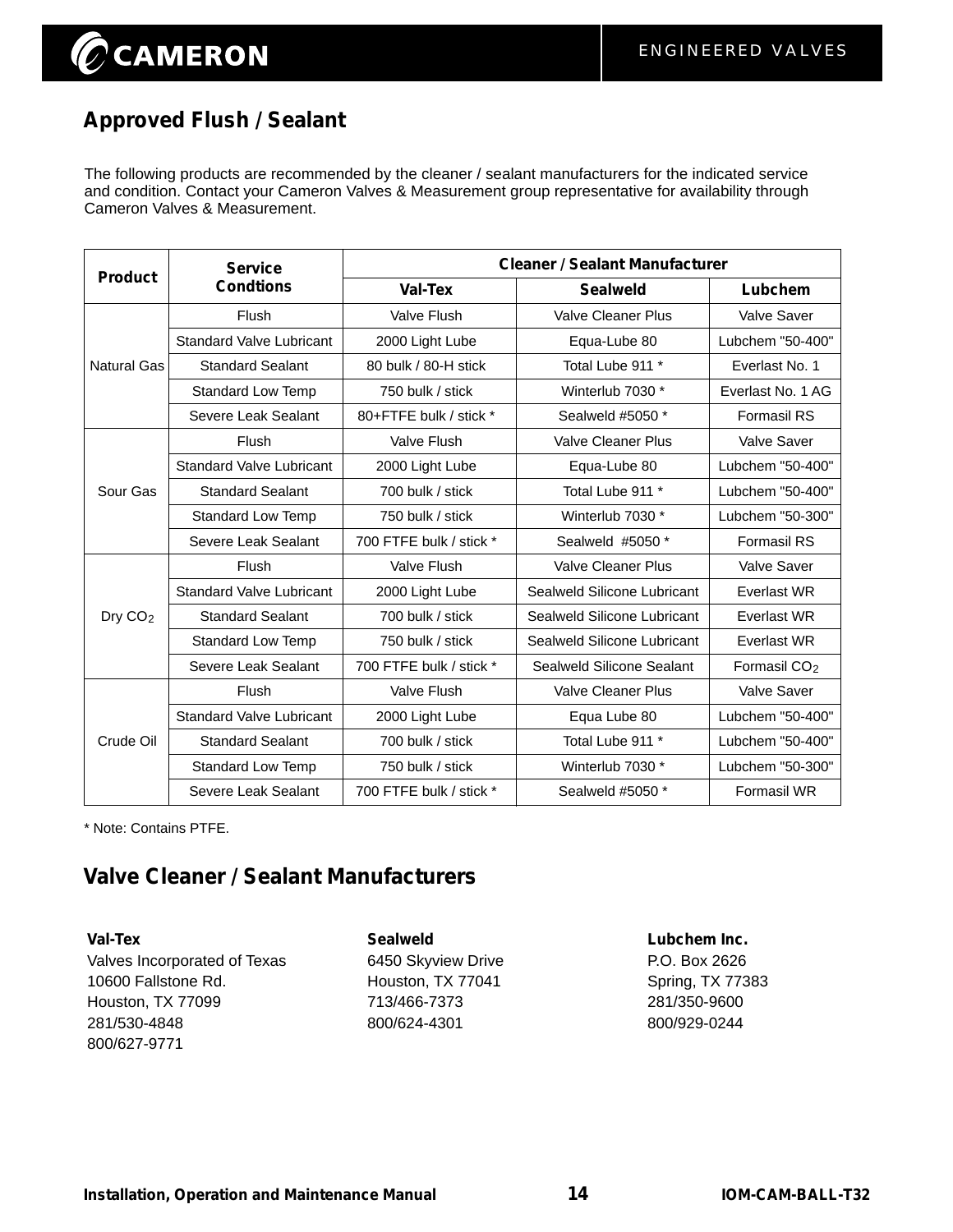## **Approved Flush / Sealant**

The following products are recommended by the cleaner / sealant manufacturers for the indicated service and condition. Contact your Cameron Valves & Measurement group representative for availability through Cameron Valves & Measurement.

| <b>Product</b>      | <b>Service</b>                  | <b>Cleaner / Sealant Manufacturer</b> |                             |                          |  |
|---------------------|---------------------------------|---------------------------------------|-----------------------------|--------------------------|--|
|                     | <b>Condtions</b>                | <b>Val-Tex</b>                        | <b>Sealweld</b>             | Lubchem                  |  |
|                     | Flush                           | Valve Flush                           | Valve Cleaner Plus          | Valve Saver              |  |
|                     | <b>Standard Valve Lubricant</b> | 2000 Light Lube                       | Equa-Lube 80                | Lubchem "50-400"         |  |
| Natural Gas         | <b>Standard Sealant</b>         | 80 bulk / 80-H stick                  | Total Lube 911 *            | Everlast No. 1           |  |
|                     | Standard Low Temp               | 750 bulk / stick                      | Winterlub 7030 *            | Everlast No. 1 AG        |  |
|                     | Severe Leak Sealant             | 80+FTFE bulk / stick *                | Sealweld #5050 *            | <b>Formasil RS</b>       |  |
|                     | <b>Flush</b>                    | Valve Flush                           | <b>Valve Cleaner Plus</b>   | Valve Saver              |  |
|                     | <b>Standard Valve Lubricant</b> | 2000 Light Lube                       | Equa-Lube 80                | Lubchem "50-400"         |  |
| Sour Gas            | <b>Standard Sealant</b>         | 700 bulk / stick                      | Total Lube 911 *            | Lubchem "50-400"         |  |
|                     | <b>Standard Low Temp</b>        | 750 bulk / stick                      | Winterlub 7030 *            | Lubchem "50-300"         |  |
|                     | Severe Leak Sealant             | 700 FTFE bulk / stick *               | Sealweld #5050 *            | <b>Formasil RS</b>       |  |
|                     | Flush                           | <b>Valve Flush</b>                    | <b>Valve Cleaner Plus</b>   | <b>Valve Saver</b>       |  |
|                     | <b>Standard Valve Lubricant</b> | 2000 Light Lube                       | Sealweld Silicone Lubricant | Everlast WR              |  |
| Dry CO <sub>2</sub> | <b>Standard Sealant</b>         | 700 bulk / stick                      | Sealweld Silicone Lubricant | <b>Everlast WR</b>       |  |
|                     | <b>Standard Low Temp</b>        | 750 bulk / stick                      | Sealweld Silicone Lubricant | Everlast WR              |  |
|                     | Severe Leak Sealant             | 700 FTFE bulk / stick *               | Sealweld Silicone Sealant   | Formasil CO <sub>2</sub> |  |
|                     | Flush                           | Valve Flush                           | <b>Valve Cleaner Plus</b>   | <b>Valve Saver</b>       |  |
|                     | <b>Standard Valve Lubricant</b> | 2000 Light Lube                       | Equa Lube 80                | Lubchem "50-400"         |  |
| Crude Oil           | <b>Standard Sealant</b>         | 700 bulk / stick                      | Total Lube 911 *            | Lubchem "50-400"         |  |
|                     | <b>Standard Low Temp</b>        | 750 bulk / stick                      | Winterlub 7030 *            | Lubchem "50-300"         |  |
|                     | Severe Leak Sealant             | 700 FTFE bulk / stick *               | Sealweld #5050 *            | <b>Formasil WR</b>       |  |

\* Note: Contains PTFE.

## **Valve Cleaner / Sealant Manufacturers**

**Val-Tex Sealweld Lubchem Inc.** Valves Incorporated of Texas 6450 Skyview Drive P.O. Box 2626 10600 Fallstone Rd. **Houston, TX 77041** Spring, TX 77383 Houston, TX 77099 713/466-7373 281/350-9600 281/530-4848 800/624-4301 800/929-0244 800/627-9771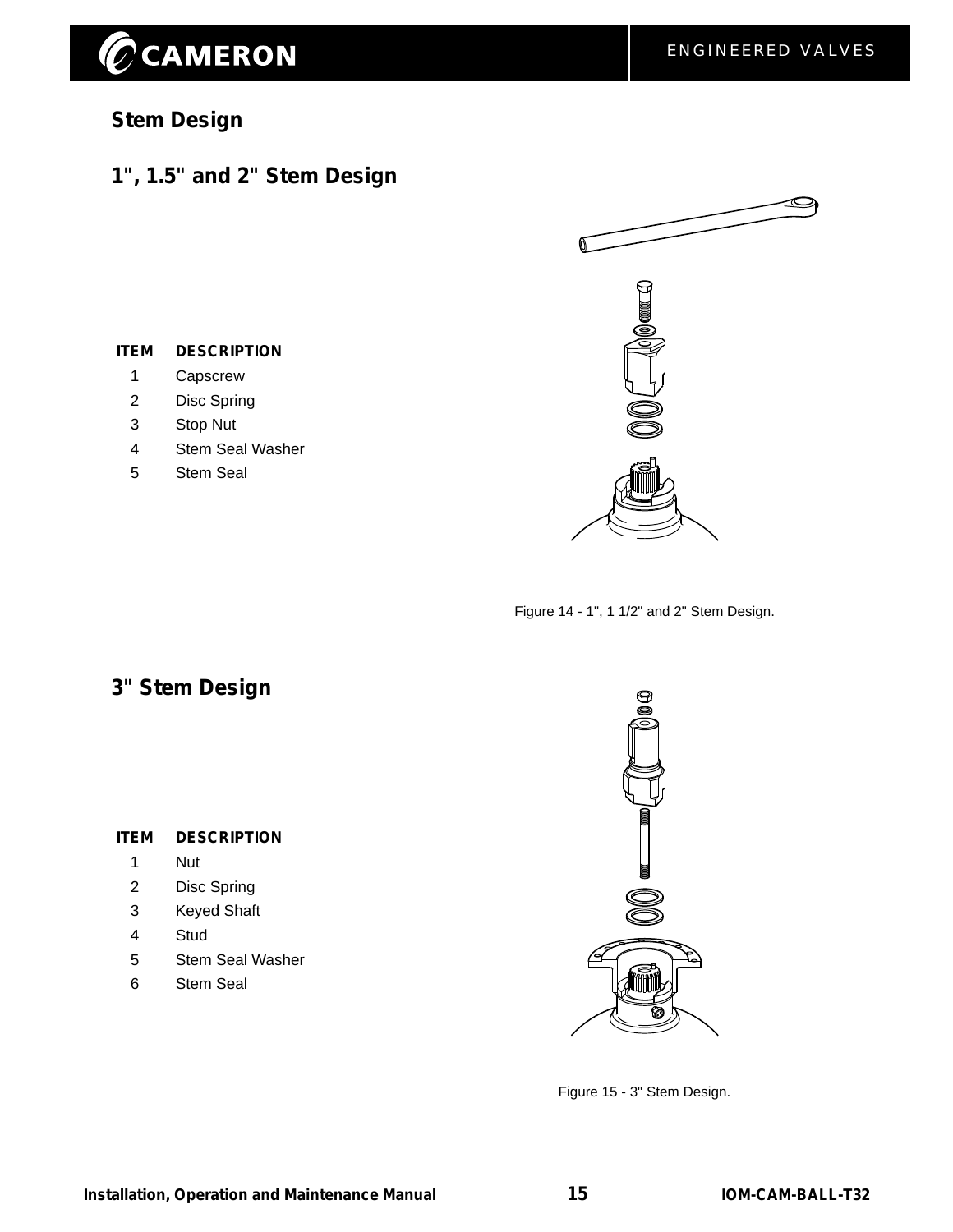# CCAMERON

## **Stem Design**

## **1", 1.5" and 2" Stem Design**



- 1 Capscrew
- 2 Disc Spring
- 3 Stop Nut
- 4 Stem Seal Washer
- 5 Stem Seal



Figure 14 - 1", 1 1/2" and 2" Stem Design.

## **3" Stem Design**

#### **ITEM DESCRIPTION**

- 1 Nut
- 2 Disc Spring
- 3 Keyed Shaft
- 4 Stud
- 5 Stem Seal Washer
- 6 Stem Seal



Figure 15 - 3" Stem Design.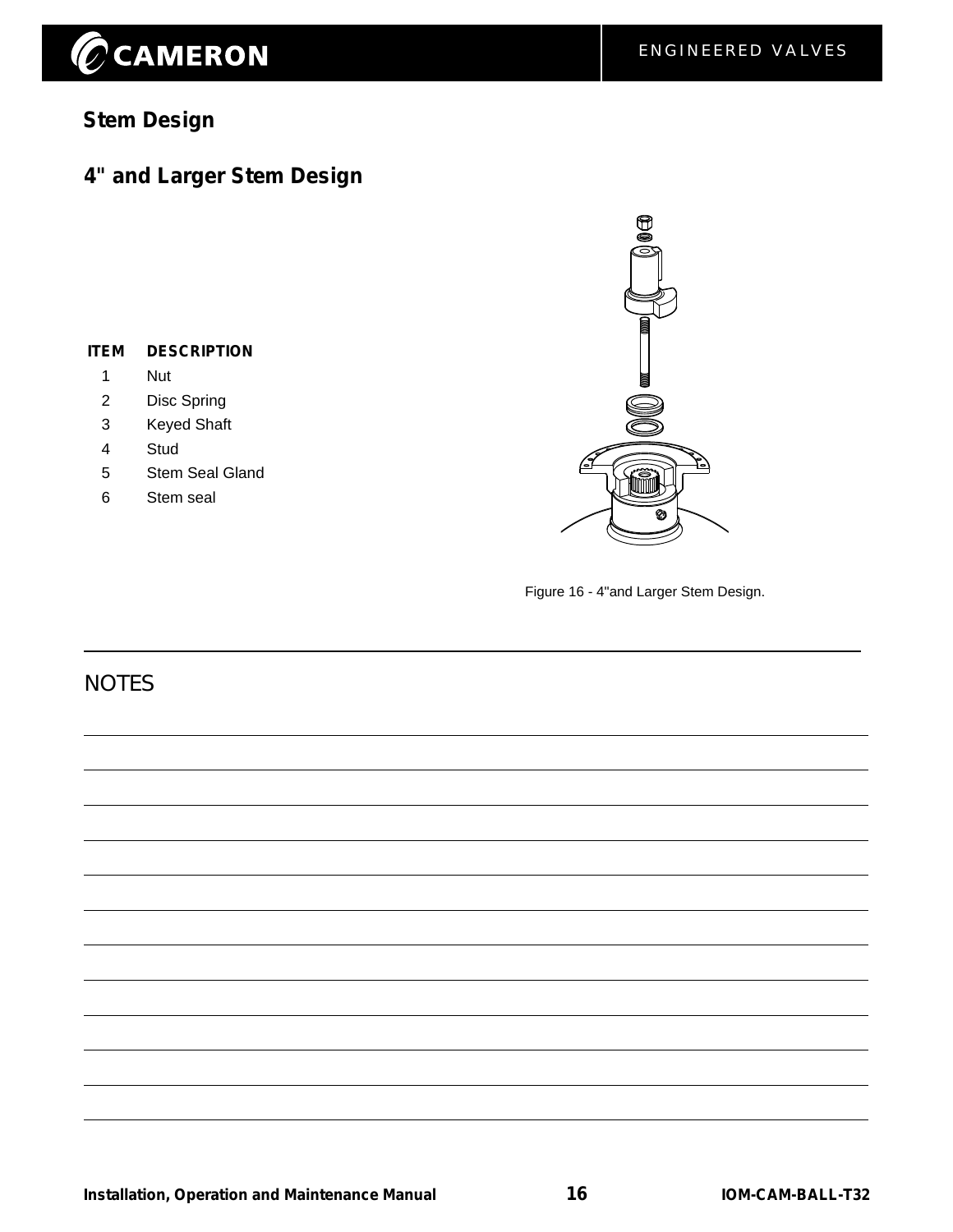# $\widehat{\mathscr{O}}$ CAMERON

## **Stem Design**

## **4" and Larger Stem Design**

#### **ITEM DESCRIPTION**

- 1 Nut
- 2 Disc Spring
- 3 Keyed Shaft
- 4 Stud
- 5 Stem Seal Gland
- 6 Stem seal



Figure 16 - 4"and Larger Stem Design.

### **NOTES**

**Installation, Operation and Maintenance Manual <b>16** 16 **IOM-CAM-BALL-T32**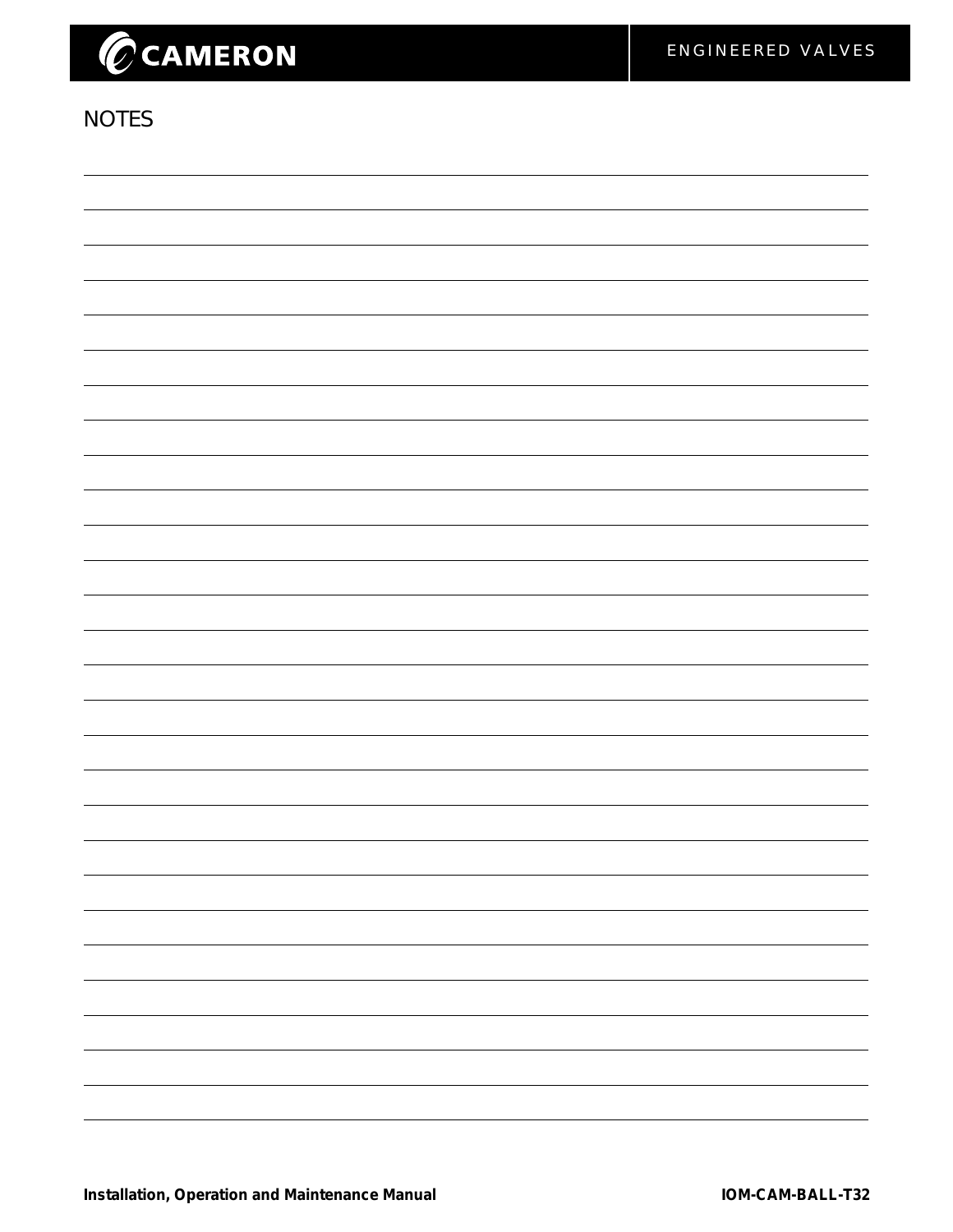## **NOTES**

| -                        |
|--------------------------|
|                          |
| -                        |
|                          |
| $\overline{\phantom{0}}$ |
|                          |
| ۰.                       |
|                          |
|                          |
|                          |
|                          |
|                          |
|                          |
|                          |
|                          |
|                          |